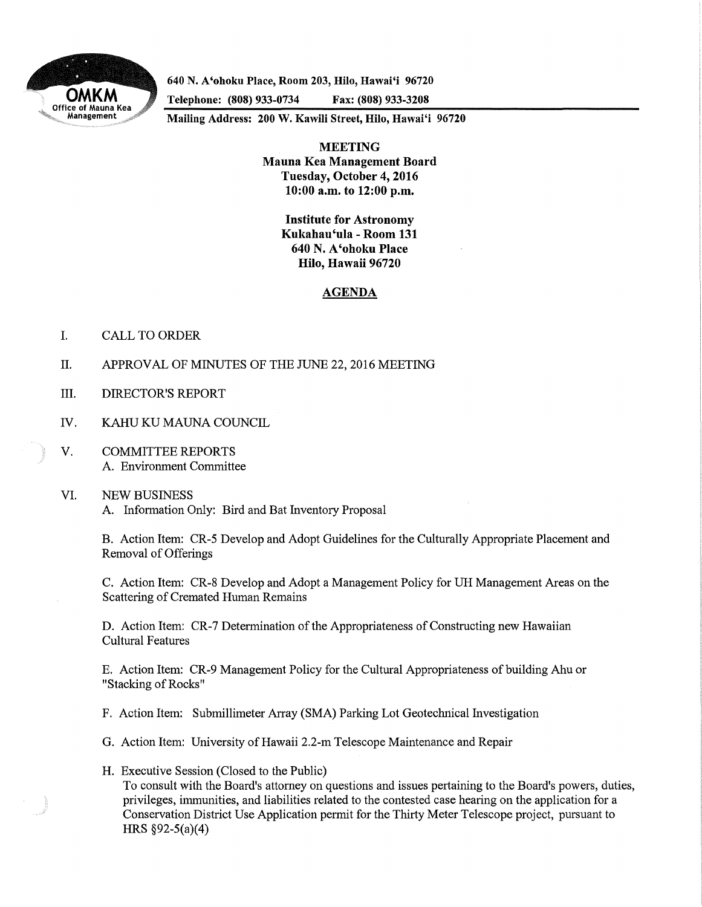

**640 N. A'ohoku Place, Room 203, Hilo, Hawai'i 96720** 

**Telephone: (808) 933-0734 Fax: (808) 933-3208** 

**Mailing Address: 200 W. Kawili Street, Hilo, Hawai'i 96720** 

**MEETING Mauna Kea Management Board Tuesday, October 4, 2016 10:00 a.m. to 12:00 p.m.** 

> **Institute for Astronomy Kukahau'ula -Room 131 640 N. A'ohoku Place Hilo, Hawaii 96720**

## **AGENDA**

- I. CALL TO ORDER
- II. APPROVAL OF MINUTES OF THE JUNE 22, 2016 MEETING
- III. DIRECTOR'S REPORT
- IV. KAHU KU MAUNA COUNCIL
- V. COMMITTEE REPORTS A. Environment Committee

## VI. NEW BUSINESS A. Information Only: Bird and Bat Inventory Proposal

B. Action Item: CR-5 Develop and Adopt Guidelines for the Culturally Appropriate Placement and Removal of Offerings

C. Action Item: CR-8 Develop and Adopt a Management Policy for UH Management Areas on the Scattering of Cremated Human Remains

**D.** Action Item: CR-7 Determination of the Appropriateness of Constructing new Hawaiian Cultural Features

E. Action Item: CR-9 Management Policy for the Cultural Appropriateness of building Ahu or "Stacking of Rocks"

- F. Action Item: Submillimeter Array (SMA) Parking Lot Geotechnical Investigation
- G. Action Item: University of Hawaii 2.2-m Telescope Maintenance and Repair
- **H.** Executive Session (Closed to the Public) To consult with the Board's attorney on questions and issues pertaining to the Board's powers, duties, privileges, immunities, and liabilities related to the contested case hearing on the application for a Conservation District Use Application permit for the Thirty Meter Telescope project, pursuant to **HRS** §92-5(a)(4)